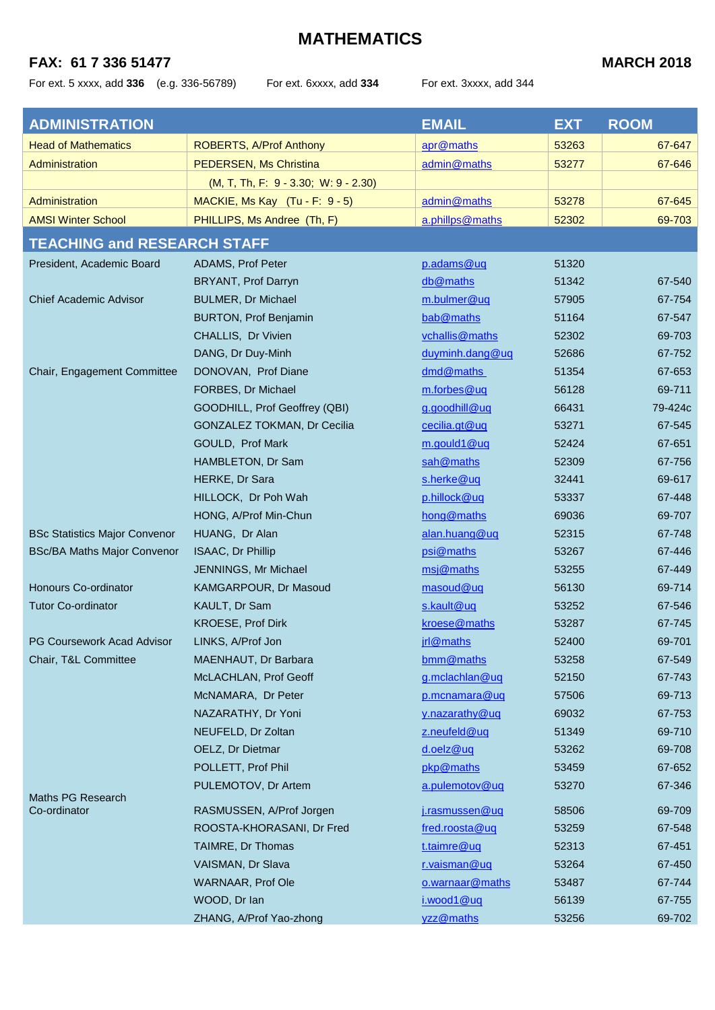### **FAX: 61 7 336 51477 MARCH 2018**

For ext. 5 xxxx, add **336** (e.g. 336-56789) For ext. 6xxxx, add **334** For ext. 3xxxx, add 344

| <b>ADMINISTRATION</b>                |                                        | <b>EMAIL</b>    | <b>EXT</b> | <b>ROOM</b> |
|--------------------------------------|----------------------------------------|-----------------|------------|-------------|
| <b>Head of Mathematics</b>           | ROBERTS, A/Prof Anthony                | apr@maths       | 53263      | 67-647      |
| Administration                       | <b>PEDERSEN, Ms Christina</b>          | admin@maths     | 53277      | 67-646      |
|                                      | $(M, T, Th, F: 9 - 3.30; W: 9 - 2.30)$ |                 |            |             |
| Administration                       | MACKIE, Ms Kay (Tu - F: 9 - 5)         | admin@maths     | 53278      | 67-645      |
| <b>AMSI Winter School</b>            | PHILLIPS, Ms Andree (Th, F)            | a.phillps@maths | 52302      | 69-703      |
| <b>TEACHING and RESEARCH STAFF</b>   |                                        |                 |            |             |
| President, Academic Board            | ADAMS, Prof Peter                      | p.adams@uq      | 51320      |             |
|                                      | BRYANT, Prof Darryn                    | db@maths        | 51342      | 67-540      |
| <b>Chief Academic Advisor</b>        | <b>BULMER, Dr Michael</b>              | m.bulmer@uq     | 57905      | 67-754      |
|                                      | <b>BURTON, Prof Benjamin</b>           | bab@maths       | 51164      | 67-547      |
|                                      | CHALLIS, Dr Vivien                     | vchallis@maths  | 52302      | 69-703      |
|                                      | DANG, Dr Duy-Minh                      | duyminh.dang@uq | 52686      | 67-752      |
| Chair, Engagement Committee          | DONOVAN, Prof Diane                    | dmd@maths       | 51354      | 67-653      |
|                                      | FORBES, Dr Michael                     | m.forbes@uq     | 56128      | 69-711      |
|                                      | GOODHILL, Prof Geoffrey (QBI)          | g.goodhill@uq   | 66431      | 79-424c     |
|                                      | GONZALEZ TOKMAN, Dr Cecilia            | cecilia.gt@uq   | 53271      | 67-545      |
|                                      | GOULD, Prof Mark                       | m.gould1@uq     | 52424      | 67-651      |
|                                      | HAMBLETON, Dr Sam                      | sah@maths       | 52309      | 67-756      |
|                                      | HERKE, Dr Sara                         | s.herke@uq      | 32441      | 69-617      |
|                                      | HILLOCK, Dr Poh Wah                    | p.hillock@uq    | 53337      | 67-448      |
|                                      | HONG, A/Prof Min-Chun                  | hong@maths      | 69036      | 69-707      |
| <b>BSc Statistics Major Convenor</b> | HUANG, Dr Alan                         | alan.huang@uq   | 52315      | 67-748      |
| <b>BSc/BA Maths Major Convenor</b>   | ISAAC, Dr Phillip                      | psi@maths       | 53267      | 67-446      |
|                                      | JENNINGS, Mr Michael                   | msj@maths       | 53255      | 67-449      |
| Honours Co-ordinator                 | KAMGARPOUR, Dr Masoud                  | masoud@uq       | 56130      | 69-714      |
| <b>Tutor Co-ordinator</b>            | KAULT, Dr Sam                          | s.kault@uq      | 53252      | 67-546      |
|                                      | KROESE, Prof Dirk                      | kroese@maths    | 53287      | 67-745      |
| PG Coursework Acad Advisor           | LINKS, A/Prof Jon                      | jrl@maths       | 52400      | 69-701      |
| Chair, T&L Committee                 | MAENHAUT, Dr Barbara                   | bmm@maths       | 53258      | 67-549      |
|                                      | McLACHLAN, Prof Geoff                  | g.mclachlan@uq  | 52150      | 67-743      |
|                                      | McNAMARA, Dr Peter                     | p.mcnamara@uq   | 57506      | 69-713      |
|                                      | NAZARATHY, Dr Yoni                     | y.nazarathy@uq  | 69032      | 67-753      |
|                                      | NEUFELD, Dr Zoltan                     | z.neufeld@uq    | 51349      | 69-710      |
|                                      | OELZ, Dr Dietmar                       | d.oelz@uq       | 53262      | 69-708      |
|                                      | POLLETT, Prof Phil                     | pkp@maths       | 53459      | 67-652      |
|                                      | PULEMOTOV, Dr Artem                    | a.pulemotov@uq  | 53270      | 67-346      |
| Maths PG Research<br>Co-ordinator    | RASMUSSEN, A/Prof Jorgen               | j.rasmussen@uq  | 58506      | 69-709      |
|                                      | ROOSTA-KHORASANI, Dr Fred              | fred.roosta@uq  | 53259      | 67-548      |
|                                      | TAIMRE, Dr Thomas                      | t.taimre@uq     | 52313      | 67-451      |
|                                      | VAISMAN, Dr Slava                      | r.vaisman@uq    | 53264      | 67-450      |
|                                      | <b>WARNAAR, Prof Ole</b>               | o.warnaar@maths | 53487      | 67-744      |
|                                      | WOOD, Dr Ian                           | i.wood1@uq      | 56139      | 67-755      |
|                                      | ZHANG, A/Prof Yao-zhong                | yzz@maths       | 53256      | 69-702      |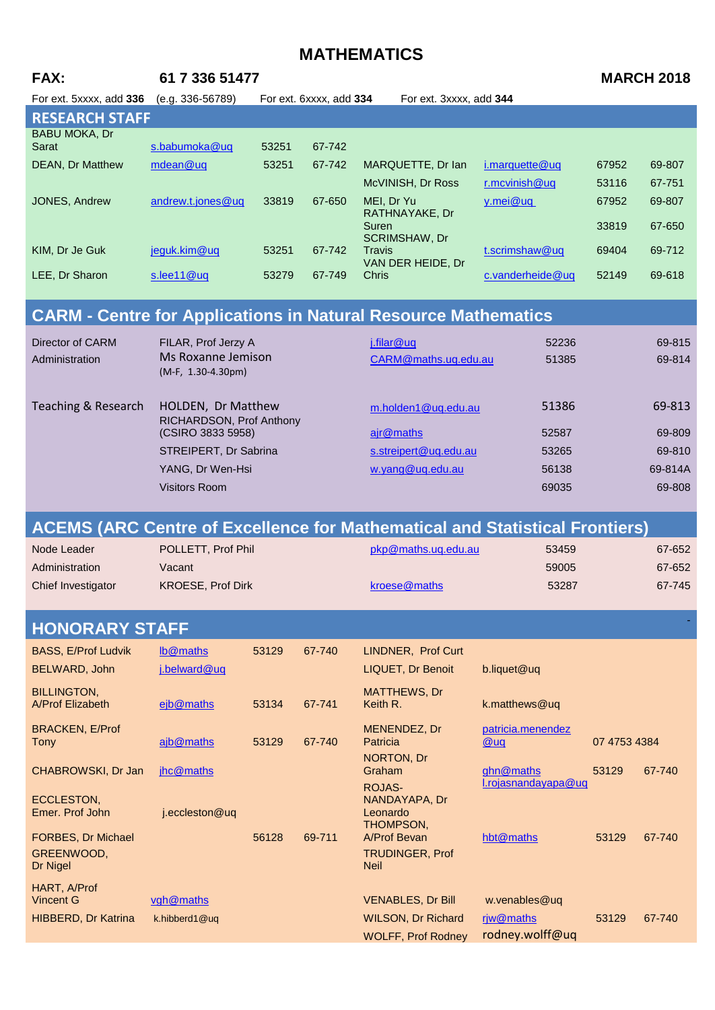| FAX:<br>61 7 336 51477<br><b>MARCH 2018</b><br>(e.g. 336-56789)<br>For ext. 3xxxx, add 344<br>For ext. 5xxxx, add 336<br>For ext. 6xxxx, add 334<br><b>RESEARCH STAFF</b><br><b>BABU MOKA, Dr</b><br>s.babumoka@uq<br>67-742<br>Sarat<br>53251<br>mdean@uq<br>53251<br>MARQUETTE, Dr Ian<br><b>DEAN, Dr Matthew</b><br>67-742<br>i.marquette@uq<br>67952<br>69-807<br>McVINISH, Dr Ross<br>r.mcvinish@uq<br>67-751<br>53116<br>andrew.t.jones@uq<br>33819<br>67-650<br>y.mei@uq<br>JONES, Andrew<br>MEI, Dr Yu<br>67952<br>69-807<br>RATHNAYAKE, Dr<br>33819<br>67-650<br>Suren<br>SCRIMSHAW, Dr<br>jeguk.kim@uq<br>69-712<br>KIM, Dr Je Guk<br>53251<br>67-742<br><b>Travis</b><br>t.scrimshaw@uq<br>69404<br>VAN DER HEIDE, Dr<br>LEE, Dr Sharon<br>s.lee11@uq<br>53279<br>67-749<br>Chris<br>c.vanderheide@uq<br>52149<br>69-618<br><b>CARM - Centre for Applications in Natural Resource Mathematics</b><br><b>Director of CARM</b><br>FILAR, Prof Jerzy A<br>52236<br>69-815<br>j.filar@uq<br>Ms Roxanne Jemison<br>69-814<br>CARM@maths.uq.edu.au<br>51385<br>Administration<br>(M-F, 1.30-4.30pm)<br><b>Teaching &amp; Research</b><br>51386<br>69-813<br>HOLDEN, Dr Matthew<br>m.holden1@uq.edu.au<br>RICHARDSON, Prof Anthony<br>(CSIRO 3833 5958)<br>ajr@maths<br>69-809<br>52587<br>STREIPERT, Dr Sabrina<br>s.streipert@uq.edu.au<br>53265<br>69-810<br>YANG, Dr Wen-Hsi<br>w.yang@uq.edu.au<br>69-814A<br>56138<br><b>Visitors Room</b><br>69035<br>69-808<br><b>ACEMS (ARC Centre of Excellence for Mathematical and Statistical Frontiers)</b><br>Node Leader<br>POLLETT, Prof Phil<br>pkp@maths.uq.edu.au<br>67-652<br>53459<br>67-652<br>Administration<br>Vacant<br>59005<br>KROESE, Prof Dirk<br>kroese@maths<br>53287<br>67-745<br>Chief Investigator<br><b>HONORARY STAFF</b><br><b>BASS, E/Prof Ludvik</b><br>lb@maths<br>53129<br>LINDNER, Prof Curt<br>67-740 |
|---------------------------------------------------------------------------------------------------------------------------------------------------------------------------------------------------------------------------------------------------------------------------------------------------------------------------------------------------------------------------------------------------------------------------------------------------------------------------------------------------------------------------------------------------------------------------------------------------------------------------------------------------------------------------------------------------------------------------------------------------------------------------------------------------------------------------------------------------------------------------------------------------------------------------------------------------------------------------------------------------------------------------------------------------------------------------------------------------------------------------------------------------------------------------------------------------------------------------------------------------------------------------------------------------------------------------------------------------------------------------------------------------------------------------------------------------------------------------------------------------------------------------------------------------------------------------------------------------------------------------------------------------------------------------------------------------------------------------------------------------------------------------------------------------------------------------------------------------------------------------------------|
|                                                                                                                                                                                                                                                                                                                                                                                                                                                                                                                                                                                                                                                                                                                                                                                                                                                                                                                                                                                                                                                                                                                                                                                                                                                                                                                                                                                                                                                                                                                                                                                                                                                                                                                                                                                                                                                                                       |
|                                                                                                                                                                                                                                                                                                                                                                                                                                                                                                                                                                                                                                                                                                                                                                                                                                                                                                                                                                                                                                                                                                                                                                                                                                                                                                                                                                                                                                                                                                                                                                                                                                                                                                                                                                                                                                                                                       |
|                                                                                                                                                                                                                                                                                                                                                                                                                                                                                                                                                                                                                                                                                                                                                                                                                                                                                                                                                                                                                                                                                                                                                                                                                                                                                                                                                                                                                                                                                                                                                                                                                                                                                                                                                                                                                                                                                       |
|                                                                                                                                                                                                                                                                                                                                                                                                                                                                                                                                                                                                                                                                                                                                                                                                                                                                                                                                                                                                                                                                                                                                                                                                                                                                                                                                                                                                                                                                                                                                                                                                                                                                                                                                                                                                                                                                                       |
|                                                                                                                                                                                                                                                                                                                                                                                                                                                                                                                                                                                                                                                                                                                                                                                                                                                                                                                                                                                                                                                                                                                                                                                                                                                                                                                                                                                                                                                                                                                                                                                                                                                                                                                                                                                                                                                                                       |
|                                                                                                                                                                                                                                                                                                                                                                                                                                                                                                                                                                                                                                                                                                                                                                                                                                                                                                                                                                                                                                                                                                                                                                                                                                                                                                                                                                                                                                                                                                                                                                                                                                                                                                                                                                                                                                                                                       |
|                                                                                                                                                                                                                                                                                                                                                                                                                                                                                                                                                                                                                                                                                                                                                                                                                                                                                                                                                                                                                                                                                                                                                                                                                                                                                                                                                                                                                                                                                                                                                                                                                                                                                                                                                                                                                                                                                       |
|                                                                                                                                                                                                                                                                                                                                                                                                                                                                                                                                                                                                                                                                                                                                                                                                                                                                                                                                                                                                                                                                                                                                                                                                                                                                                                                                                                                                                                                                                                                                                                                                                                                                                                                                                                                                                                                                                       |
|                                                                                                                                                                                                                                                                                                                                                                                                                                                                                                                                                                                                                                                                                                                                                                                                                                                                                                                                                                                                                                                                                                                                                                                                                                                                                                                                                                                                                                                                                                                                                                                                                                                                                                                                                                                                                                                                                       |
|                                                                                                                                                                                                                                                                                                                                                                                                                                                                                                                                                                                                                                                                                                                                                                                                                                                                                                                                                                                                                                                                                                                                                                                                                                                                                                                                                                                                                                                                                                                                                                                                                                                                                                                                                                                                                                                                                       |
|                                                                                                                                                                                                                                                                                                                                                                                                                                                                                                                                                                                                                                                                                                                                                                                                                                                                                                                                                                                                                                                                                                                                                                                                                                                                                                                                                                                                                                                                                                                                                                                                                                                                                                                                                                                                                                                                                       |
|                                                                                                                                                                                                                                                                                                                                                                                                                                                                                                                                                                                                                                                                                                                                                                                                                                                                                                                                                                                                                                                                                                                                                                                                                                                                                                                                                                                                                                                                                                                                                                                                                                                                                                                                                                                                                                                                                       |
|                                                                                                                                                                                                                                                                                                                                                                                                                                                                                                                                                                                                                                                                                                                                                                                                                                                                                                                                                                                                                                                                                                                                                                                                                                                                                                                                                                                                                                                                                                                                                                                                                                                                                                                                                                                                                                                                                       |
|                                                                                                                                                                                                                                                                                                                                                                                                                                                                                                                                                                                                                                                                                                                                                                                                                                                                                                                                                                                                                                                                                                                                                                                                                                                                                                                                                                                                                                                                                                                                                                                                                                                                                                                                                                                                                                                                                       |
|                                                                                                                                                                                                                                                                                                                                                                                                                                                                                                                                                                                                                                                                                                                                                                                                                                                                                                                                                                                                                                                                                                                                                                                                                                                                                                                                                                                                                                                                                                                                                                                                                                                                                                                                                                                                                                                                                       |
|                                                                                                                                                                                                                                                                                                                                                                                                                                                                                                                                                                                                                                                                                                                                                                                                                                                                                                                                                                                                                                                                                                                                                                                                                                                                                                                                                                                                                                                                                                                                                                                                                                                                                                                                                                                                                                                                                       |
|                                                                                                                                                                                                                                                                                                                                                                                                                                                                                                                                                                                                                                                                                                                                                                                                                                                                                                                                                                                                                                                                                                                                                                                                                                                                                                                                                                                                                                                                                                                                                                                                                                                                                                                                                                                                                                                                                       |
|                                                                                                                                                                                                                                                                                                                                                                                                                                                                                                                                                                                                                                                                                                                                                                                                                                                                                                                                                                                                                                                                                                                                                                                                                                                                                                                                                                                                                                                                                                                                                                                                                                                                                                                                                                                                                                                                                       |
|                                                                                                                                                                                                                                                                                                                                                                                                                                                                                                                                                                                                                                                                                                                                                                                                                                                                                                                                                                                                                                                                                                                                                                                                                                                                                                                                                                                                                                                                                                                                                                                                                                                                                                                                                                                                                                                                                       |
|                                                                                                                                                                                                                                                                                                                                                                                                                                                                                                                                                                                                                                                                                                                                                                                                                                                                                                                                                                                                                                                                                                                                                                                                                                                                                                                                                                                                                                                                                                                                                                                                                                                                                                                                                                                                                                                                                       |
|                                                                                                                                                                                                                                                                                                                                                                                                                                                                                                                                                                                                                                                                                                                                                                                                                                                                                                                                                                                                                                                                                                                                                                                                                                                                                                                                                                                                                                                                                                                                                                                                                                                                                                                                                                                                                                                                                       |
|                                                                                                                                                                                                                                                                                                                                                                                                                                                                                                                                                                                                                                                                                                                                                                                                                                                                                                                                                                                                                                                                                                                                                                                                                                                                                                                                                                                                                                                                                                                                                                                                                                                                                                                                                                                                                                                                                       |
|                                                                                                                                                                                                                                                                                                                                                                                                                                                                                                                                                                                                                                                                                                                                                                                                                                                                                                                                                                                                                                                                                                                                                                                                                                                                                                                                                                                                                                                                                                                                                                                                                                                                                                                                                                                                                                                                                       |
|                                                                                                                                                                                                                                                                                                                                                                                                                                                                                                                                                                                                                                                                                                                                                                                                                                                                                                                                                                                                                                                                                                                                                                                                                                                                                                                                                                                                                                                                                                                                                                                                                                                                                                                                                                                                                                                                                       |
|                                                                                                                                                                                                                                                                                                                                                                                                                                                                                                                                                                                                                                                                                                                                                                                                                                                                                                                                                                                                                                                                                                                                                                                                                                                                                                                                                                                                                                                                                                                                                                                                                                                                                                                                                                                                                                                                                       |
|                                                                                                                                                                                                                                                                                                                                                                                                                                                                                                                                                                                                                                                                                                                                                                                                                                                                                                                                                                                                                                                                                                                                                                                                                                                                                                                                                                                                                                                                                                                                                                                                                                                                                                                                                                                                                                                                                       |
|                                                                                                                                                                                                                                                                                                                                                                                                                                                                                                                                                                                                                                                                                                                                                                                                                                                                                                                                                                                                                                                                                                                                                                                                                                                                                                                                                                                                                                                                                                                                                                                                                                                                                                                                                                                                                                                                                       |
| b.liquet@uq<br>BELWARD, John<br>j.belward@uq<br><b>LIQUET, Dr Benoit</b>                                                                                                                                                                                                                                                                                                                                                                                                                                                                                                                                                                                                                                                                                                                                                                                                                                                                                                                                                                                                                                                                                                                                                                                                                                                                                                                                                                                                                                                                                                                                                                                                                                                                                                                                                                                                              |
| <b>BILLINGTON,</b><br>MATTHEWS, Dr<br>A/Prof Elizabeth<br>ejb@maths<br>k.matthews@uq<br>53134<br>67-741<br>Keith R.                                                                                                                                                                                                                                                                                                                                                                                                                                                                                                                                                                                                                                                                                                                                                                                                                                                                                                                                                                                                                                                                                                                                                                                                                                                                                                                                                                                                                                                                                                                                                                                                                                                                                                                                                                   |
|                                                                                                                                                                                                                                                                                                                                                                                                                                                                                                                                                                                                                                                                                                                                                                                                                                                                                                                                                                                                                                                                                                                                                                                                                                                                                                                                                                                                                                                                                                                                                                                                                                                                                                                                                                                                                                                                                       |
| <b>BRACKEN, E/Prof</b><br>MENENDEZ, Dr<br>patricia.menendez<br>ajb@maths<br><b>Tony</b><br>53129<br>67-740<br>Patricia<br>07 4753 4384<br>@uq                                                                                                                                                                                                                                                                                                                                                                                                                                                                                                                                                                                                                                                                                                                                                                                                                                                                                                                                                                                                                                                                                                                                                                                                                                                                                                                                                                                                                                                                                                                                                                                                                                                                                                                                         |
| <b>NORTON, Dr</b><br>ghn@maths<br>67-740<br>CHABROWSKI, Dr Jan<br>jhc@maths<br>Graham<br>53129                                                                                                                                                                                                                                                                                                                                                                                                                                                                                                                                                                                                                                                                                                                                                                                                                                                                                                                                                                                                                                                                                                                                                                                                                                                                                                                                                                                                                                                                                                                                                                                                                                                                                                                                                                                        |
| I.rojasnandayapa@uq<br><b>ROJAS-</b>                                                                                                                                                                                                                                                                                                                                                                                                                                                                                                                                                                                                                                                                                                                                                                                                                                                                                                                                                                                                                                                                                                                                                                                                                                                                                                                                                                                                                                                                                                                                                                                                                                                                                                                                                                                                                                                  |
| ECCLESTON,<br>NANDAYAPA, Dr<br>Emer. Prof John<br>j.eccleston@uq<br>Leonardo                                                                                                                                                                                                                                                                                                                                                                                                                                                                                                                                                                                                                                                                                                                                                                                                                                                                                                                                                                                                                                                                                                                                                                                                                                                                                                                                                                                                                                                                                                                                                                                                                                                                                                                                                                                                          |
| THOMPSON,<br>FORBES, Dr Michael<br>A/Prof Bevan<br>hbt@maths<br>56128<br>69-711<br>53129<br>67-740                                                                                                                                                                                                                                                                                                                                                                                                                                                                                                                                                                                                                                                                                                                                                                                                                                                                                                                                                                                                                                                                                                                                                                                                                                                                                                                                                                                                                                                                                                                                                                                                                                                                                                                                                                                    |
|                                                                                                                                                                                                                                                                                                                                                                                                                                                                                                                                                                                                                                                                                                                                                                                                                                                                                                                                                                                                                                                                                                                                                                                                                                                                                                                                                                                                                                                                                                                                                                                                                                                                                                                                                                                                                                                                                       |
| GREENWOOD,<br><b>TRUDINGER, Prof</b><br>Dr Nigel<br><b>Neil</b>                                                                                                                                                                                                                                                                                                                                                                                                                                                                                                                                                                                                                                                                                                                                                                                                                                                                                                                                                                                                                                                                                                                                                                                                                                                                                                                                                                                                                                                                                                                                                                                                                                                                                                                                                                                                                       |
| HART, A/Prof                                                                                                                                                                                                                                                                                                                                                                                                                                                                                                                                                                                                                                                                                                                                                                                                                                                                                                                                                                                                                                                                                                                                                                                                                                                                                                                                                                                                                                                                                                                                                                                                                                                                                                                                                                                                                                                                          |
| <b>Vincent G</b><br>vgh@maths<br>w.venables@uq<br><b>VENABLES, Dr Bill</b><br><b>WILSON, Dr Richard</b><br>riw@maths<br><b>HIBBERD, Dr Katrina</b><br>53129<br>67-740<br>k.hibberd1@uq                                                                                                                                                                                                                                                                                                                                                                                                                                                                                                                                                                                                                                                                                                                                                                                                                                                                                                                                                                                                                                                                                                                                                                                                                                                                                                                                                                                                                                                                                                                                                                                                                                                                                                |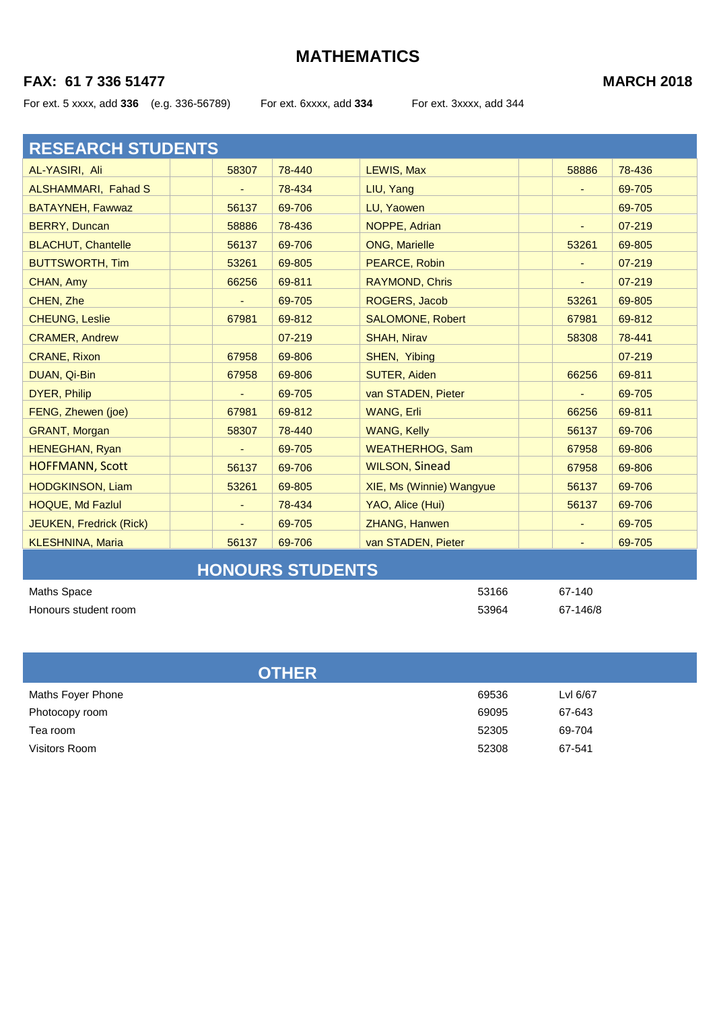## **FAX: 61 7 336 51477 MARCH 2018**

For ext. 5 xxxx, add **336** (e.g. 336-56789) For ext. 6xxxx, add **334** For ext. 3xxxx, add 344

| <b>RESEARCH STUDENTS</b>  |                          |        |                          |       |        |
|---------------------------|--------------------------|--------|--------------------------|-------|--------|
| AL-YASIRI, Ali            | 58307                    | 78-440 | LEWIS, Max               | 58886 | 78-436 |
| ALSHAMMARI, Fahad S       | $\overline{\phantom{a}}$ | 78-434 | LIU, Yang                | ٠     | 69-705 |
| <b>BATAYNEH, Fawwaz</b>   | 56137                    | 69-706 | LU, Yaowen               |       | 69-705 |
| <b>BERRY, Duncan</b>      | 58886                    | 78-436 | NOPPE, Adrian            |       | 07-219 |
| <b>BLACHUT, Chantelle</b> | 56137                    | 69-706 | <b>ONG, Marielle</b>     | 53261 | 69-805 |
| <b>BUTTSWORTH, Tim</b>    | 53261                    | 69-805 | PEARCE, Robin            |       | 07-219 |
| CHAN, Amy                 | 66256                    | 69-811 | <b>RAYMOND, Chris</b>    |       | 07-219 |
| CHEN, Zhe                 | $\overline{\phantom{a}}$ | 69-705 | ROGERS, Jacob            | 53261 | 69-805 |
| <b>CHEUNG, Leslie</b>     | 67981                    | 69-812 | <b>SALOMONE, Robert</b>  | 67981 | 69-812 |
| <b>CRAMER, Andrew</b>     |                          | 07-219 | <b>SHAH, Nirav</b>       | 58308 | 78-441 |
| <b>CRANE, Rixon</b>       | 67958                    | 69-806 | SHEN, Yibing             |       | 07-219 |
| DUAN, Qi-Bin              | 67958                    | 69-806 | <b>SUTER, Aiden</b>      | 66256 | 69-811 |
| <b>DYER, Philip</b>       |                          | 69-705 | van STADEN, Pieter       |       | 69-705 |
| FENG, Zhewen (joe)        | 67981                    | 69-812 | WANG, Erli               | 66256 | 69-811 |
| <b>GRANT, Morgan</b>      | 58307                    | 78-440 | <b>WANG, Kelly</b>       | 56137 | 69-706 |
| <b>HENEGHAN, Ryan</b>     |                          | 69-705 | <b>WEATHERHOG, Sam</b>   | 67958 | 69-806 |
| <b>HOFFMANN, Scott</b>    | 56137                    | 69-706 | <b>WILSON, Sinead</b>    | 67958 | 69-806 |
| <b>HODGKINSON, Liam</b>   | 53261                    | 69-805 | XIE, Ms (Winnie) Wangyue | 56137 | 69-706 |
| HOQUE, Md Fazlul          | ٠                        | 78-434 | YAO, Alice (Hui)         | 56137 | 69-706 |
| JEUKEN, Fredrick (Rick)   | ٠                        | 69-705 | <b>ZHANG, Hanwen</b>     | ٠     | 69-705 |
| <b>KLESHNINA, Maria</b>   | 56137                    | 69-706 | van STADEN, Pieter       |       | 69-705 |
|                           |                          |        |                          |       |        |

# **HONOURS STUDENTS**

| Maths Space          | 53166 | 67-140   |
|----------------------|-------|----------|
| Honours student room | 53964 | 67-146/8 |

| <b>OTHER</b>      |       |          |
|-------------------|-------|----------|
| Maths Foyer Phone | 69536 | Lvl 6/67 |
| Photocopy room    | 69095 | 67-643   |
| Tea room          | 52305 | 69-704   |
| Visitors Room     | 52308 | 67-541   |